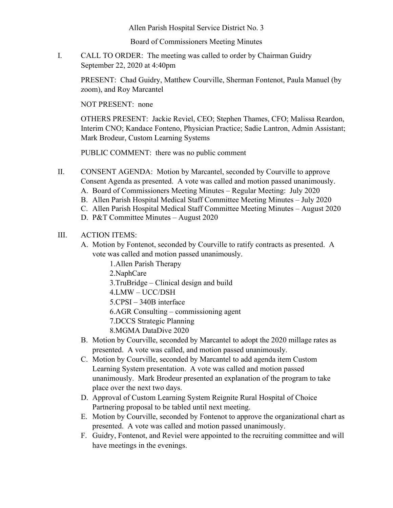Allen Parish Hospital Service District No. 3

Board of Commissioners Meeting Minutes

I. CALL TO ORDER: The meeting was called to order by Chairman Guidry September 22, 2020 at 4:40pm

PRESENT: Chad Guidry, Matthew Courville, Sherman Fontenot, Paula Manuel (by zoom), and Roy Marcantel

NOT PRESENT: none

OTHERS PRESENT: Jackie Reviel, CEO; Stephen Thames, CFO; Malissa Reardon, Interim CNO; Kandace Fonteno, Physician Practice; Sadie Lantron, Admin Assistant; Mark Brodeur, Custom Learning Systems

PUBLIC COMMENT: there was no public comment

- II. CONSENT AGENDA: Motion by Marcantel, seconded by Courville to approve Consent Agenda as presented. A vote was called and motion passed unanimously.
	- A. Board of Commissioners Meeting Minutes Regular Meeting: July 2020
	- B. Allen Parish Hospital Medical Staff Committee Meeting Minutes July 2020
	- C. Allen Parish Hospital Medical Staff Committee Meeting Minutes August 2020
	- D. P&T Committee Minutes August 2020

## III. ACTION ITEMS:

- A. Motion by Fontenot, seconded by Courville to ratify contracts as presented. A vote was called and motion passed unanimously.
	- 1.Allen Parish Therapy

2.NaphCare

- 3.TruBridge Clinical design and build
- 4.LMW UCC/DSH
- 5.CPSI 340B interface
- 6.AGR Consulting commissioning agent
- 7.DCCS Strategic Planning
- 8.MGMA DataDive 2020
- B. Motion by Courville, seconded by Marcantel to adopt the 2020 millage rates as presented. A vote was called, and motion passed unanimously.
- C. Motion by Courville, seconded by Marcantel to add agenda item Custom Learning System presentation. A vote was called and motion passed unanimously. Mark Brodeur presented an explanation of the program to take place over the next two days.
- D. Approval of Custom Learning System Reignite Rural Hospital of Choice Partnering proposal to be tabled until next meeting.
- E. Motion by Courville, seconded by Fontenot to approve the organizational chart as presented. A vote was called and motion passed unanimously.
- F. Guidry, Fontenot, and Reviel were appointed to the recruiting committee and will have meetings in the evenings.